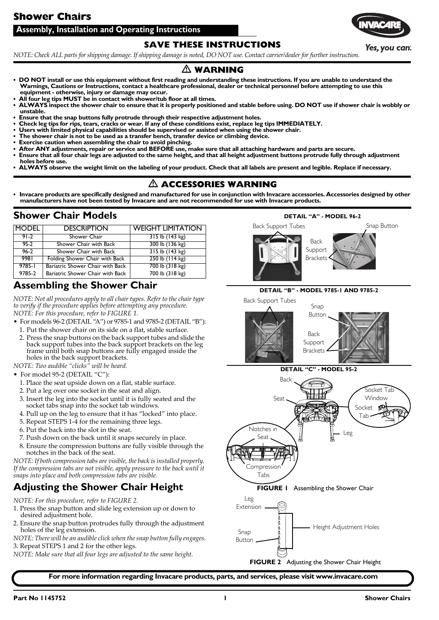# **Shower Chairs**

### **Assembly, Installation and Operating Instructions**

### **SAVE THESE INSTRUCTIONS**

NOTE: Check ALL parts for shipping damage. If shipping damage is noted, DO NOT use. Contact carrier/dealer for further instruction.

# $\triangle$  **WARNING**

- **DO NOT install or use this equipment without first reading and understanding these instructions. If you are unable to understand the Warnings, Cautions or Instructions, contact a healthcare professional, dealer or technical personnel before attempting to use this equipment - otherwise, injury or damage may occur.**
- **All four leg tips MUST be in contact with shower/tub floor at all times.**
- **ALWAYS inspect the shower chair to ensure that it is properly positioned and stable before using. DO NOT use if shower chair is wobbly or unstable.**
- **Ensure that the snap buttons fully protrude through their respective adjustment holes.**
- **Check leg tips for rips, tears, cracks or wear. If any of these conditions exist, replace leg tips IMMEDIATELY.**
- **Users with limited physical capabilities should be supervised or assisted when using the shower chair.**
- **The shower chair is not to be used as a transfer bench, transfer device or climbing device.**
- **Exercise caution when assembling the chair to avoid pinching.**
- **After ANY adjustments, repair or service and BEFORE use, make sure that all attaching hardware and parts are secure.**
- **Ensure that all four chair legs are adjusted to the same height, and that all height adjustment buttons protrude fully through adjustment holes before use.**
- **ALWAYS observe the weight limit on the labeling of your product. Check that all labels are present and legible. Replace if necessary.**

# $\triangle$  accessories warning

**• Invacare products are specifically designed and manufactured for use in conjunction with Invacare accessories. Accessories designed by other manufacturers have not been tested by Invacare and are not recommended for use with Invacare products.**

# **Shower Chair Models**

| <b>IMODEL</b> | <b>DESCRIPTION</b>               | <b>WEIGHT LIMITATION</b> |
|---------------|----------------------------------|--------------------------|
| $91 - 2$      | Shower Chair                     | $315$ lb $(143$ kg)      |
| $95-2$        | Shower Chair with Back           | 300 lb (136 kg)          |
| $96 - 2$      | Shower Chair with Back           | $315$ lb (143 kg)        |
| 9981          | Folding Shower Chair with Back   | $250$ lb $(114$ kg)      |
| $9785 - 1$    | Bariatric Shower Chair with Back | 700 lb (318 kg)          |
| 9785-2        | Bariatric Shower Chair with Back | 700 lb (318 kg)          |

# <span id="page-0-2"></span>**Assembling the Shower Chair**

*NOTE: Not all procedures apply to all chair types. Refer to the chair type to verify if the procedure applies before attempting any procedure.*

*NOTE: For this procedure, refer to [FIGURE 1](#page-0-5).*

- For models 96‐2 [\(DETAIL](#page-0-3) "A") or 9785‐1 and 9785‐2 [\(DETAIL](#page-0-4) "B"): 1. Put the shower chair on its side on a flat, stable surface.
	- 2. Press the snap buttons on the back support tubes and slide the back support tubes into the back support brackets on the leg frame until both snap buttons are fully engaged inside the holes in the back support brackets.

*NOTE: Two audible "clicks" will be heard.*

- For model 95-2 ([DETAIL](#page-1-0) "C"):
	- 1. Place the seat upside down on a flat, stable surface.
	- 2. Put a leg over one socket in the seat and align.
	- 3. Insert the leg into the socket until it is fully seated and the socket tabs snap into the socket tab windows.
	- 4. Pull up on the leg to ensure that it has "locked" into place.
	- 5. Repeat STEPS 1‐4 for the remaining three legs.
	- 6. Put the back into the slot in the seat.
	- 7. Push down on the back until it snaps securely in place.
	- 8. Ensure the compression buttons are fully visible through the notches in the back of the seat.

*NOTE: If both compression tabs are visible, the back is installed properly. If the compression tabs are not visible, apply pressure to the back until it snaps into place and both compression tabs are visible.*

# <span id="page-0-1"></span>**Adjusting the Shower Chair Height**

*NOTE: For this procedure, refer to [FIGURE 2](#page-0-0).*

- 1. Press the snap button and slide leg extension up or down to desired adjustment hole.
- 2. Ensure the snap button protrudes fully through the adjustment holes of the leg extension.

*NOTE: There will be an audible click when thesnap button fully engages.* 3. Repeat STEPS 1 and 2 for the other legs.

*NOTE: Make sure that all four legs are adjusted to the same height.*

# <span id="page-0-3"></span>**DETAIL "A" - MODEL 96-2** Back Support Tubes Snap Button Back Support **Brackets**

#### **DETAIL "B" - MODEL 9785-1 AND 9785-2**

<span id="page-0-4"></span>





<span id="page-0-5"></span><span id="page-0-0"></span>**FIGURE 2** [Adjusting the Shower Chair Height](#page-0-1)

**For more information regarding Invacare products, parts, and services, please visit www.invacare.com**



Yes, you can.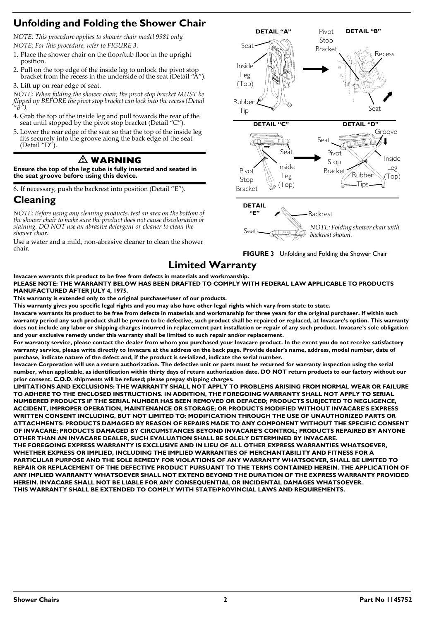# <span id="page-1-1"></span>**Unfolding and Folding the Shower Chair**

*NOTE: This procedure applies to shower chair model 9981 only. NOTE: For this procedure, refer to FIGURE 3.*

- 1. Place the shower chair on the floor/tub floor in the upright position.
- 2. Pull on the top edge of the inside leg to unlock the pivot stop bracket from the recess in the underside of the seat (Detail "A").
- 3. Lift up on rear edge of seat.

*NOTE: When folding the shower chair, the pivot stop bracket MUST be flipped up BEFORE the pivot stop bracket can lock into the recess (Detail "B").*

- 4. Grab the top of the inside leg and pull towards the rear of the seat until stopped by the pivot stop bracket (Detail "C").
- 5. Lower the rear edge of the seat so that the top of the inside leg fits securely into the groove along the back edge of the seat (Detail "D").

# - **WARNING**

**Ensure the top of the leg tube is fully inserted and seated in the seat groove before using this device.**

6. If necessary, push the backrest into position (Detail "E").

# **Cleaning**

*NOTE: Before using any cleaning products, test an area on the bottom of the shower chair to make sure the product does not cause discoloration or staining. DO NOT use an abrasive detergent or cleaner to clean the shower chair.*

Use a water and a mild, non‐abrasive cleaner to clean the shower chair.

<span id="page-1-0"></span>



# **Limited Warranty**

**Invacare warrants this product to be free from defects in materials and workmanship. PLEASE NOTE: THE WARRANTY BELOW HAS BEEN DRAFTED TO COMPLY WITH FEDERAL LAW APPLICABLE TO PRODUCTS MANUFACTURED AFTER JULY 4, 1975.**

**This warranty is extended only to the original purchaser/user of our products.**

**This warranty gives you specific legal rights and you may also have other legal rights which vary from state to state.**

**Invacare warrants its product to be free from defects in materials and workmanship for three years for the original purchaser. If within such warranty period any such product shall be proven to be defective, such product shall be repaired or replaced, at Invacare's option. This warranty does not include any labor or shipping charges incurred in replacement part installation or repair of any such product. Invacare's sole obligation and your exclusive remedy under this warranty shall be limited to such repair and/or replacement.**

**For warranty service, please contact the dealer from whom you purchased your Invacare product. In the event you do not receive satisfactory warranty service, please write directly to Invacare at the address on the back page. Provide dealer's name, address, model number, date of purchase, indicate nature of the defect and, if the product is serialized, indicate the serial number.**

**Invacare Corporation will use a return authorization. The defective unit or parts must be returned for warranty inspection using the serial number, when applicable, as identification within thirty days of return authorization date. DO NOT return products to our factory without our prior consent. C.O.D. shipments will be refused; please prepay shipping charges.**

**LIMITATIONS AND EXCLUSIONS: THE WARRANTY SHALL NOT APPLY TO PROBLEMS ARISING FROM NORMAL WEAR OR FAILURE TO ADHERE TO THE ENCLOSED INSTRUCTIONS. IN ADDITION, THE FOREGOING WARRANTY SHALL NOT APPLY TO SERIAL NUMBERED PRODUCTS IF THE SERIAL NUMBER HAS BEEN REMOVED OR DEFACED; PRODUCTS SUBJECTED TO NEGLIGENCE, ACCIDENT, IMPROPER OPERATION, MAINTENANCE OR STORAGE; OR PRODUCTS MODIFIED WITHOUT INVACARE'S EXPRESS WRITTEN CONSENT INCLUDING, BUT NOT LIMITED TO: MODIFICATION THROUGH THE USE OF UNAUTHORIZED PARTS OR ATTACHMENTS: PRODUCTS DAMAGED BY REASON OF REPAIRS MADE TO ANY COMPONENT WITHOUT THE SPECIFIC CONSENT OF INVACARE; PRODUCTS DAMAGED BY CIRCUMSTANCES BEYOND INVACARE'S CONTROL; PRODUCTS REPAIRED BY ANYONE OTHER THAN AN INVACARE DEALER, SUCH EVALUATION SHALL BE SOLELY DETERMINED BY INVACARE.**

**THE FOREGOING EXPRESS WARRANTY IS EXCLUSIVE AND IN LIEU OF ALL OTHER EXPRESS WARRANTIES WHATSOEVER, WHETHER EXPRESS OR IMPLIED, INCLUDING THE IMPLIED WARRANTIES OF MERCHANTABILITY AND FITNESS FOR A PARTICULAR PURPOSE AND THE SOLE REMEDY FOR VIOLATIONS OF ANY WARRANTY WHATSOEVER, SHALL BE LIMITED TO REPAIR OR REPLACEMENT OF THE DEFECTIVE PRODUCT PURSUANT TO THE TERMS CONTAINED HEREIN. THE APPLICATION OF ANY IMPLIED WARRANTY WHATSOEVER SHALL NOT EXTEND BEYOND THE DURATION OF THE EXPRESS WARRANTY PROVIDED HEREIN. INVACARE SHALL NOT BE LIABLE FOR ANY CONSEQUENTIAL OR INCIDENTAL DAMAGES WHATSOEVER. THIS WARRANTY SHALL BE EXTENDED TO COMPLY WITH STATE/PROVINCIAL LAWS AND REQUIREMENTS.**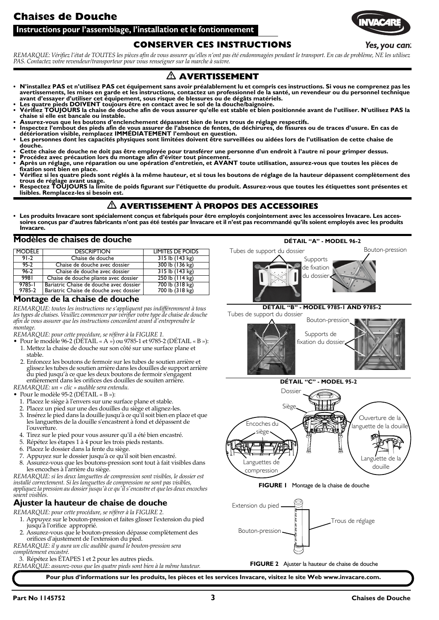<span id="page-2-4"></span>**Instructions pour l'assemblage, l'installation et le fontionnement**

### **CONSERVER CES INSTRUCTIONS**

REMARQUE: Vérifiez l'état de TOUTES les pièces afin de vous assurer qu'elles n'ont pas été endommagées pendant le transport. En cas de problème, NE les utilisez *PAS. Contactez votre revendeur/transporteur pour vous renseigner sur la marche à suivre.*

# - **AVERTISSEMENT**

- **N'installez PAS et n'utilisez PAS cet équipement sans avoir préalablement lu et compris ces instructions. Si vous ne comprenez pas les avertissements, les mises en garde et les instructions, contactez un professionnel de la santé, un revendeur ou du personnel technique avant d'essayer d'utiliser cet équipement, sous risque de blessures ou de dégâts matériels.**
- 
- Les quatre pieds DOIVENT toujours être en contact avec le sol de la douche/baignoire.<br>• Vérifiez TOUJOURS la chaise de douche afin de vous assurer qu'elle est stable et bien positionnée avant de l'utiliser. N'utilisez PA **chaise si elle est bancale ou instable.**
- 
- Assurez-vous que les boutons d'enclenchement dépassent bien de leurs trous de réglage respectifs.<br>• Inspectez l'embout des pieds afin de vous assurer de l'absence de fentes, de déchirures, de fissures ou de traces d'usur Les personnes dont les capacités physiques sont limitées doivent être surveillées ou aidées lors de l'utilisation de cette chaise de
- **douche.**
- **Cette chaise de douche ne doit pas être employée pour transférer une personne d'un endroit à l'autre ni pour grimper dessus.**
- **Procédez avec précaution lors du montage afin d'éviter tout pincement. Après un réglage, une réparation ou une opération d'entretien, et AVANT toute utilisation, assurez-vous que toutes les pièces de fixation sont bien en place.**
- Vérifiez si les quatre pieds sont réglés à la même hauteur, et si tous les boutons de réglage de la hauteur dépassent complètement des<br>trous de réglage avant usage.<br>• Respectez TOUJOURS la limite de poids figurant sur l'
- **lisibles. Remplacez-les si besoin est.**

# - **AVERTISSEMENT À PROPOS DES ACCESSOIRES**

• Les produits Invacare sont spécialement conçus et fabriqués pour être employés conjointement avec les accessoires Invacare. Les acces-<br>soires conçus par d'autres fabricants n'ont pas été testés par Invacare et il n'est p **Invacare.**

#### **Modèles de chaises de douche**

| <b>MODELE</b>        | <b>DESCRIPTION</b>                                                                 | LIMITES DE POIDS                               |
|----------------------|------------------------------------------------------------------------------------|------------------------------------------------|
| $91 - 2$             | Chaise de douche                                                                   | $315$ lb $(143 \text{ kg})$                    |
| $95-2$               | Chaise de douche avec dossier                                                      | 300 lb (136 kg)                                |
| $96 - 2$             | Chaise de douche avec dossier                                                      | $315$ lb $(143 \text{ kg})$                    |
| 998T                 | Chaise de douche pliante avec dossier                                              | $250$ lb $(114 \text{ kg})$                    |
| $9785 - 1$<br>9785-2 | Bariatric Chaise de douche avec dossier<br>Bariatric Chaise de douche avec dossier | 700 lb (318 kg)<br>$700$ lb $(318 \text{ kg})$ |

#### <span id="page-2-2"></span>**Montage de la chaise de douche**

*REMARQUE: toutes les instructions ne s'appliquent pas indifféremment à tous lestypes de chaises. Veuillez commencer par vérifier votretype de chaise de douche afin de vous assurer que les instructions concordent avant dʹentreprendre le montage.*

*REMARQUE: pour cette procédure, se référer à la [FIGURE 1](#page-2-0).*

- Pour le modèle 96‐2 (DÉTAIL « A ») ou 9785‐1 et 9785‐2 (DÉTAIL « B »): 1. Mettez la chaise de douche sur son côté sur une surface plane et
	- stable. 2. Enfoncez les boutons de fermoir sur les tubes de soutien arrière et
- glissez les tubes de soutien arrière dans les douilles de support arrière du pied jusqu'à ce que les deux boutons de fermoir s'engagent entièrement dans les orifices des douilles de souiten arrière. *REMARQUE: un « clic » audible sera entendu.*

• Pour le modèle 95‐2 (DÉTAIL « B »):

- 1. Placez le siège à l'envers sur une surface plane et stable.
- 2. Placez un pied sur une des douilles du siège et alignez‐les.
- 3. Insérez le pied dans la douille jusquʹà ce quʹil soit bien en place et que les languettes de la douille s'encastrent à fond et dépassent de l'ouverture.
- 4. Tirez sur le pied pour vous assurer quʹil a été bien encastré.
- 5. Répétez les étapes 1 à 4 pour les trois pieds restants.
- 6. Placez le dossier dans la fente du siège.
- 7. Appuyez sur le dossier jusquʹà ce quʹil soit bien encastré.
- 8. Assurez-vous que les boutons-pression sont tout à fait visibles dans les encoches à l'arrière du siège.

*REMARQUE: si les deux languettes de compression sont visibles, le dossier est installé correctement. Si les languettes de compression ne sont pas visibles, appliquez la pression au dossierjusquʹà ce quʹilsʹencastreet queles deux encoches soient visibles.*

#### <span id="page-2-3"></span>**Ajuster la hauteur de chaise de douche**

- *REMARQUE: pour cette procédure, se référer à la [FIGURE 2](#page-2-1).*
	- 1. Appuyez sur le bouton-pression et faites glisser l'extension du pied jusquʹà lʹorifice approprié.
	- Assurez-vous que le bouton-pression dépasse complètement des orifices dʹajustement de lʹextension du pied.

*REMARQUE: il y aura un clic audible quand le bouton‐pression sera complètement encastré.*

3. Répétez les ÉTAPES 1 et 2 pour les autres pieds.

*REMARQUE: assurez‐vous que les quatre pieds sont bien à la même hauteur.*

Tubes de support du dossier en annum Bouton-pression Supports de fixation du dossier **DÉTAIL "B" - MODEL 9785-1 AND 9785-2** Tubes de support du dossier<br>  $\bigwedge$ <br>
Bouton-pression Supports de

**DÉTAIL "A" - MODEL 96-2**

**DÉTAIL "C" - MODEL 95-2** fixation du dossier



#### **FIGURE 1** [Montage de la chaise de douche](#page-2-2)

<span id="page-2-0"></span>

#### <span id="page-2-1"></span>**FIGURE 2** [Ajuster la hauteur de chaise de douche](#page-2-3)

**Pour plus d'informations sur les produits, les pièces et les services Invacare, visitez le site Web www.invacare.com.**



### Yes, you can.